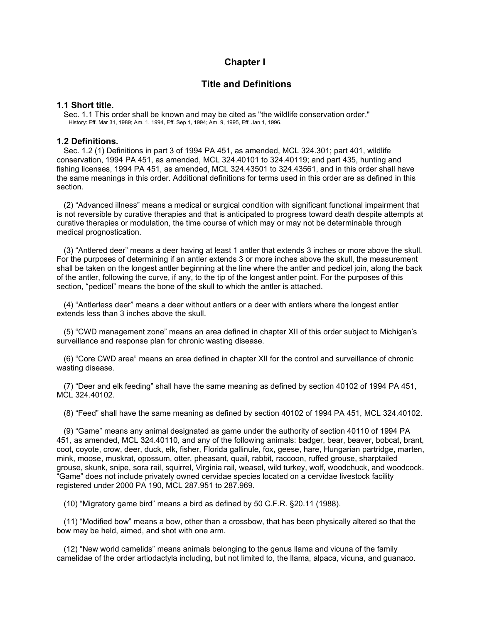## **Chapter I**

## **Title and Definitions**

## **1.1 Short title.**

Sec. 1.1 This order shall be known and may be cited as "the wildlife conservation order." History: Eff. Mar 31, 1989; Am. 1, 1994, Eff. Sep 1, 1994; Am. 9, 1995, Eff. Jan 1, 1996.

## **1.2 Definitions.**

Sec. 1.2 (1) Definitions in part 3 of 1994 PA 451, as amended, MCL 324.301; part 401, wildlife conservation, 1994 PA 451, as amended, MCL 324.40101 to 324.40119; and part 435, hunting and fishing licenses, 1994 PA 451, as amended, MCL 324.43501 to 324.43561, and in this order shall have the same meanings in this order. Additional definitions for terms used in this order are as defined in this section.

(2) "Advanced illness" means a medical or surgical condition with significant functional impairment that is not reversible by curative therapies and that is anticipated to progress toward death despite attempts at curative therapies or modulation, the time course of which may or may not be determinable through medical prognostication.

(3) "Antlered deer" means a deer having at least 1 antler that extends 3 inches or more above the skull. For the purposes of determining if an antler extends 3 or more inches above the skull, the measurement shall be taken on the longest antler beginning at the line where the antler and pedicel join, along the back of the antler, following the curve, if any, to the tip of the longest antler point. For the purposes of this section, "pedicel" means the bone of the skull to which the antler is attached.

(4) "Antlerless deer" means a deer without antlers or a deer with antlers where the longest antler extends less than 3 inches above the skull.

(5) "CWD management zone" means an area defined in chapter XII of this order subject to Michigan's surveillance and response plan for chronic wasting disease.

(6) "Core CWD area" means an area defined in chapter XII for the control and surveillance of chronic wasting disease.

(7) "Deer and elk feeding" shall have the same meaning as defined by section 40102 of 1994 PA 451, MCL 324.40102.

(8) "Feed" shall have the same meaning as defined by section 40102 of 1994 PA 451, MCL 324.40102.

(9) "Game" means any animal designated as game under the authority of section 40110 of 1994 PA 451, as amended, MCL 324.40110, and any of the following animals: badger, bear, beaver, bobcat, brant, coot, coyote, crow, deer, duck, elk, fisher, Florida gallinule, fox, geese, hare, Hungarian partridge, marten, mink, moose, muskrat, opossum, otter, pheasant, quail, rabbit, raccoon, ruffed grouse, sharptailed grouse, skunk, snipe, sora rail, squirrel, Virginia rail, weasel, wild turkey, wolf, woodchuck, and woodcock. "Game" does not include privately owned cervidae species located on a cervidae livestock facility registered under 2000 PA 190, MCL 287.951 to 287.969.

(10) "Migratory game bird" means a bird as defined by 50 C.F.R. §20.11 (1988).

(11) "Modified bow" means a bow, other than a crossbow, that has been physically altered so that the bow may be held, aimed, and shot with one arm.

(12) "New world camelids" means animals belonging to the genus llama and vicuna of the family camelidae of the order artiodactyla including, but not limited to, the llama, alpaca, vicuna, and guanaco.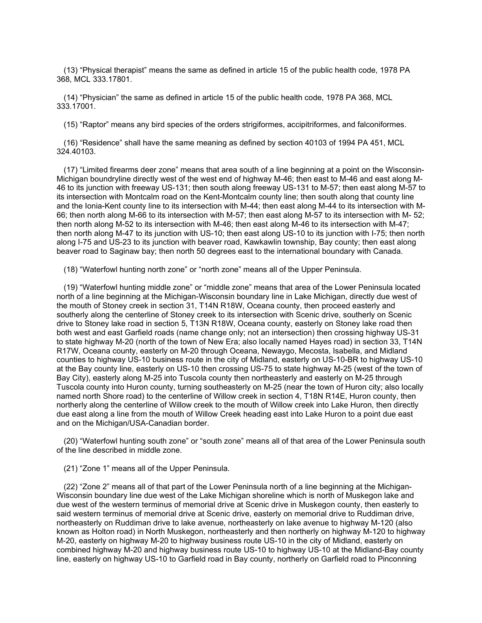(13) "Physical therapist" means the same as defined in article 15 of the public health code, 1978 PA 368, MCL 333.17801.

(14) "Physician" the same as defined in article 15 of the public health code, 1978 PA 368, MCL 333.17001.

(15) "Raptor" means any bird species of the orders strigiformes, accipitriformes, and falconiformes.

(16) "Residence" shall have the same meaning as defined by section 40103 of 1994 PA 451, MCL 324.40103.

(17) "Limited firearms deer zone" means that area south of a line beginning at a point on the Wisconsin-Michigan boundryline directly west of the west end of highway M-46; then east to M-46 and east along M-46 to its junction with freeway US-131; then south along freeway US-131 to M-57; then east along M-57 to its intersection with Montcalm road on the Kent-Montcalm county line; then south along that county line and the Ionia-Kent county line to its intersection with M-44; then east along M-44 to its intersection with M-66; then north along M-66 to its intersection with M-57; then east along M-57 to its intersection with M- 52; then north along M-52 to its intersection with M-46; then east along M-46 to its intersection with M-47; then north along M-47 to its junction with US-10; then east along US-10 to its junction with I-75; then north along I-75 and US-23 to its junction with beaver road, Kawkawlin township, Bay county; then east along beaver road to Saginaw bay; then north 50 degrees east to the international boundary with Canada.

(18) "Waterfowl hunting north zone" or "north zone" means all of the Upper Peninsula.

(19) "Waterfowl hunting middle zone" or "middle zone" means that area of the Lower Peninsula located north of a line beginning at the Michigan-Wisconsin boundary line in Lake Michigan, directly due west of the mouth of Stoney creek in section 31, T14N R18W, Oceana county, then proceed easterly and southerly along the centerline of Stoney creek to its intersection with Scenic drive, southerly on Scenic drive to Stoney lake road in section 5, T13N R18W, Oceana county, easterly on Stoney lake road then both west and east Garfield roads (name change only; not an intersection) then crossing highway US-31 to state highway M-20 (north of the town of New Era; also locally named Hayes road) in section 33, T14N R17W, Oceana county, easterly on M-20 through Oceana, Newaygo, Mecosta, Isabella, and Midland counties to highway US-10 business route in the city of Midland, easterly on US-10-BR to highway US-10 at the Bay county line, easterly on US-10 then crossing US-75 to state highway M-25 (west of the town of Bay City), easterly along M-25 into Tuscola county then northeasterly and easterly on M-25 through Tuscola county into Huron county, turning southeasterly on M-25 (near the town of Huron city; also locally named north Shore road) to the centerline of Willow creek in section 4, T18N R14E, Huron county, then northerly along the centerline of Willow creek to the mouth of Willow creek into Lake Huron, then directly due east along a line from the mouth of Willow Creek heading east into Lake Huron to a point due east and on the Michigan/USA-Canadian border.

(20) "Waterfowl hunting south zone" or "south zone" means all of that area of the Lower Peninsula south of the line described in middle zone.

(21) "Zone 1" means all of the Upper Peninsula.

(22) "Zone 2" means all of that part of the Lower Peninsula north of a line beginning at the Michigan-Wisconsin boundary line due west of the Lake Michigan shoreline which is north of Muskegon lake and due west of the western terminus of memorial drive at Scenic drive in Muskegon county, then easterly to said western terminus of memorial drive at Scenic drive, easterly on memorial drive to Ruddiman drive, northeasterly on Ruddiman drive to lake avenue, northeasterly on lake avenue to highway M-120 (also known as Holton road) in North Muskegon, northeasterly and then northerly on highway M-120 to highway M-20, easterly on highway M-20 to highway business route US-10 in the city of Midland, easterly on combined highway M-20 and highway business route US-10 to highway US-10 at the Midland-Bay county line, easterly on highway US-10 to Garfield road in Bay county, northerly on Garfield road to Pinconning